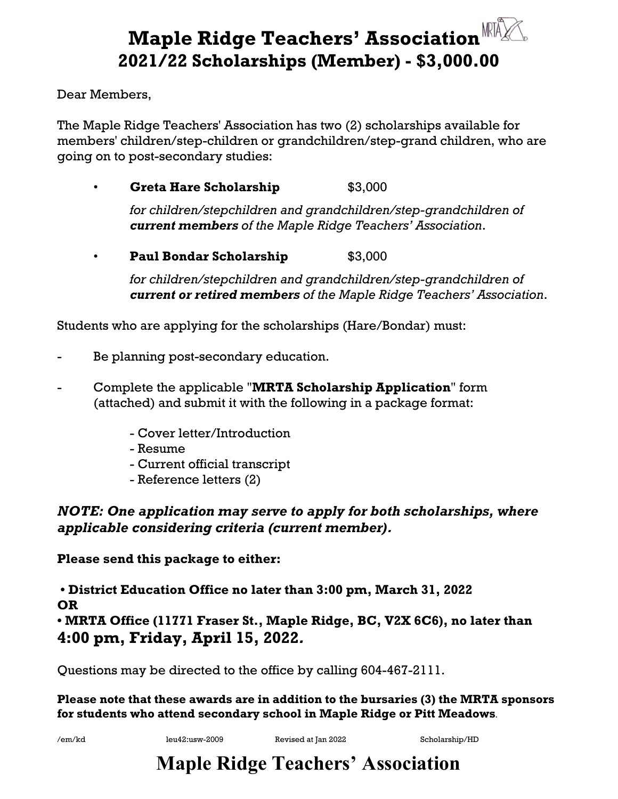## **Maple Ridge Teachers' Association REALLER 2021/22 Scholarships (Member) - \$3,000.00**

Dear Members,

The Maple Ridge Teachers' Association has two (2) scholarships available for members' children/step-children or grandchildren/step-grand children, who are going on to post-secondary studies:

• **Greta Hare Scholarship** \$3,000

*for children/stepchildren and grandchildren/step-grandchildren of current members of the Maple Ridge Teachers' Association*.

**• Paul Bondar Scholarship 53,000** 

*for children/stepchildren and grandchildren/step-grandchildren of current or retired members of the Maple Ridge Teachers' Association*.

Students who are applying for the scholarships (Hare/Bondar) must:

- Be planning post-secondary education.
- Complete the applicable "**MRTA Scholarship Application**" form (attached) and submit it with the following in a package format:
	- Cover letter/Introduction
	- Resume
	- Current official transcript
	- Reference letters (2)

*NOTE: One application may serve to apply for both scholarships, where applicable considering criteria (current member).*

**Please send this package to either:**

**• District Education Office no later than 3:00 pm, March 31, 2022 OR • MRTA Office (11771 Fraser St., Maple Ridge, BC, V2X 6C6), no later than 4:00 pm, Friday, April 15, 2022***.* 

Questions may be directed to the office by calling 604-467-2111.

**Please note that these awards are in addition to the bursaries (3) the MRTA sponsors for students who attend secondary school in Maple Ridge or Pitt Meadows.** 

/em/kd leu42:usw-2009 Revised at Jan 2022 Scholarship/HD

## **Maple Ridge Teachers' Association**